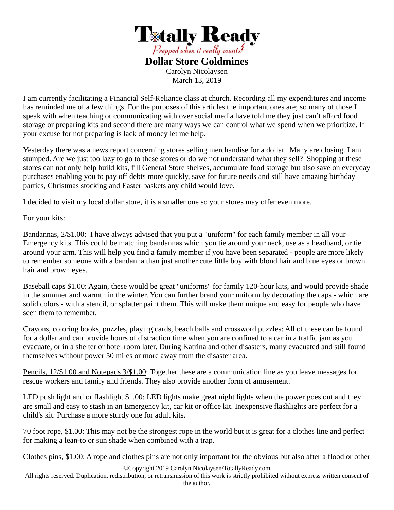

**Dollar Store Goldmines**  Carolyn Nicolaysen March 13, 2019

I am currently facilitating a Financial Self-Reliance class at church. Recording all my expenditures and income has reminded me of a few things. For the purposes of this articles the important ones are; so many of those I speak with when teaching or communicating with over social media have told me they just can't afford food storage or preparing kits and second there are many ways we can control what we spend when we prioritize. If your excuse for not preparing is lack of money let me help.

Yesterday there was a news report concerning stores selling merchandise for a dollar. Many are closing. I am stumped. Are we just too lazy to go to these stores or do we not understand what they sell? Shopping at these stores can not only help build kits, fill General Store shelves, accumulate food storage but also save on everyday purchases enabling you to pay off debts more quickly, save for future needs and still have amazing birthday parties, Christmas stocking and Easter baskets any child would love.

I decided to visit my local dollar store, it is a smaller one so your stores may offer even more.

For your kits:

Bandannas, 2/\$1.00: I have always advised that you put a "uniform" for each family member in all your Emergency kits. This could be matching bandannas which you tie around your neck, use as a headband, or tie around your arm. This will help you find a family member if you have been separated - people are more likely to remember someone with a bandanna than just another cute little boy with blond hair and blue eyes or brown hair and brown eyes.

Baseball caps \$1.00: Again, these would be great "uniforms" for family 120-hour kits, and would provide shade in the summer and warmth in the winter. You can further brand your uniform by decorating the caps - which are solid colors - with a stencil, or splatter paint them. This will make them unique and easy for people who have seen them to remember.

Crayons, coloring books, puzzles, playing cards, beach balls and crossword puzzles: All of these can be found for a dollar and can provide hours of distraction time when you are confined to a car in a traffic jam as you evacuate, or in a shelter or hotel room later. During Katrina and other disasters, many evacuated and still found themselves without power 50 miles or more away from the disaster area.

Pencils, 12/\$1.00 and Notepads 3/\$1.00: Together these are a communication line as you leave messages for rescue workers and family and friends. They also provide another form of amusement.

LED push light and or flashlight \$1.00: LED lights make great night lights when the power goes out and they are small and easy to stash in an Emergency kit, car kit or office kit. Inexpensive flashlights are perfect for a child's kit. Purchase a more sturdy one for adult kits.

70 foot rope, \$1.00: This may not be the strongest rope in the world but it is great for a clothes line and perfect for making a lean-to or sun shade when combined with a trap.

Clothes pins, \$1.00: A rope and clothes pins are not only important for the obvious but also after a flood or other

©Copyright 2019 Carolyn Nicolaysen/TotallyReady.com

All rights reserved. Duplication, redistribution, or retransmission of this work is strictly prohibited without express written consent of the author.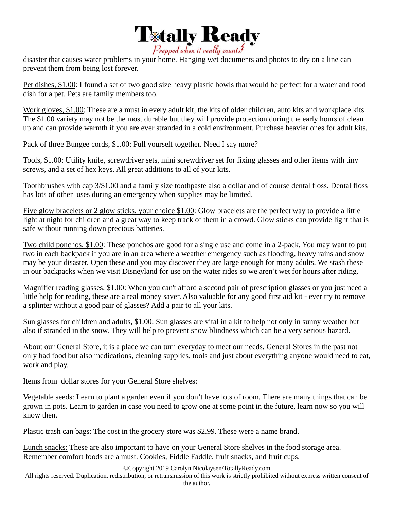

disaster that causes water problems in your home. Hanging wet documents and photos to dry on a line can prevent them from being lost forever.

Pet dishes, \$1.00: I found a set of two good size heavy plastic bowls that would be perfect for a water and food dish for a pet. Pets are family members too.

Work gloves, \$1.00: These are a must in every adult kit, the kits of older children, auto kits and workplace kits. The \$1.00 variety may not be the most durable but they will provide protection during the early hours of clean up and can provide warmth if you are ever stranded in a cold environment. Purchase heavier ones for adult kits.

Pack of three Bungee cords, \$1.00: Pull yourself together. Need I say more?

Tools, \$1.00: Utility knife, screwdriver sets, mini screwdriver set for fixing glasses and other items with tiny screws, and a set of hex keys. All great additions to all of your kits.

Toothbrushes with cap 3/\$1.00 and a family size toothpaste also a dollar and of course dental floss. Dental floss has lots of other uses during an emergency when supplies may be limited.

Five glow bracelets or 2 glow sticks, your choice \$1.00: Glow bracelets are the perfect way to provide a little light at night for children and a great way to keep track of them in a crowd. Glow sticks can provide light that is safe without running down precious batteries.

Two child ponchos, \$1.00: These ponchos are good for a single use and come in a 2-pack. You may want to put two in each backpack if you are in an area where a weather emergency such as flooding, heavy rains and snow may be your disaster. Open these and you may discover they are large enough for many adults. We stash these in our backpacks when we visit Disneyland for use on the water rides so we aren't wet for hours after riding.

Magnifier reading glasses, \$1.00: When you can't afford a second pair of prescription glasses or you just need a little help for reading, these are a real money saver. Also valuable for any good first aid kit - ever try to remove a splinter without a good pair of glasses? Add a pair to all your kits.

Sun glasses for children and adults, \$1.00: Sun glasses are vital in a kit to help not only in sunny weather but also if stranded in the snow. They will help to prevent snow blindness which can be a very serious hazard.

About our General Store, it is a place we can turn everyday to meet our needs. General Stores in the past not only had food but also medications, cleaning supplies, tools and just about everything anyone would need to eat, work and play.

Items from dollar stores for your General Store shelves:

Vegetable seeds: Learn to plant a garden even if you don't have lots of room. There are many things that can be grown in pots. Learn to garden in case you need to grow one at some point in the future, learn now so you will know then.

Plastic trash can bags: The cost in the grocery store was \$2.99. These were a name brand.

Lunch snacks: These are also important to have on your General Store shelves in the food storage area. Remember comfort foods are a must. Cookies, Fiddle Faddle, fruit snacks, and fruit cups.

©Copyright 2019 Carolyn Nicolaysen/TotallyReady.com

All rights reserved. Duplication, redistribution, or retransmission of this work is strictly prohibited without express written consent of

the author.